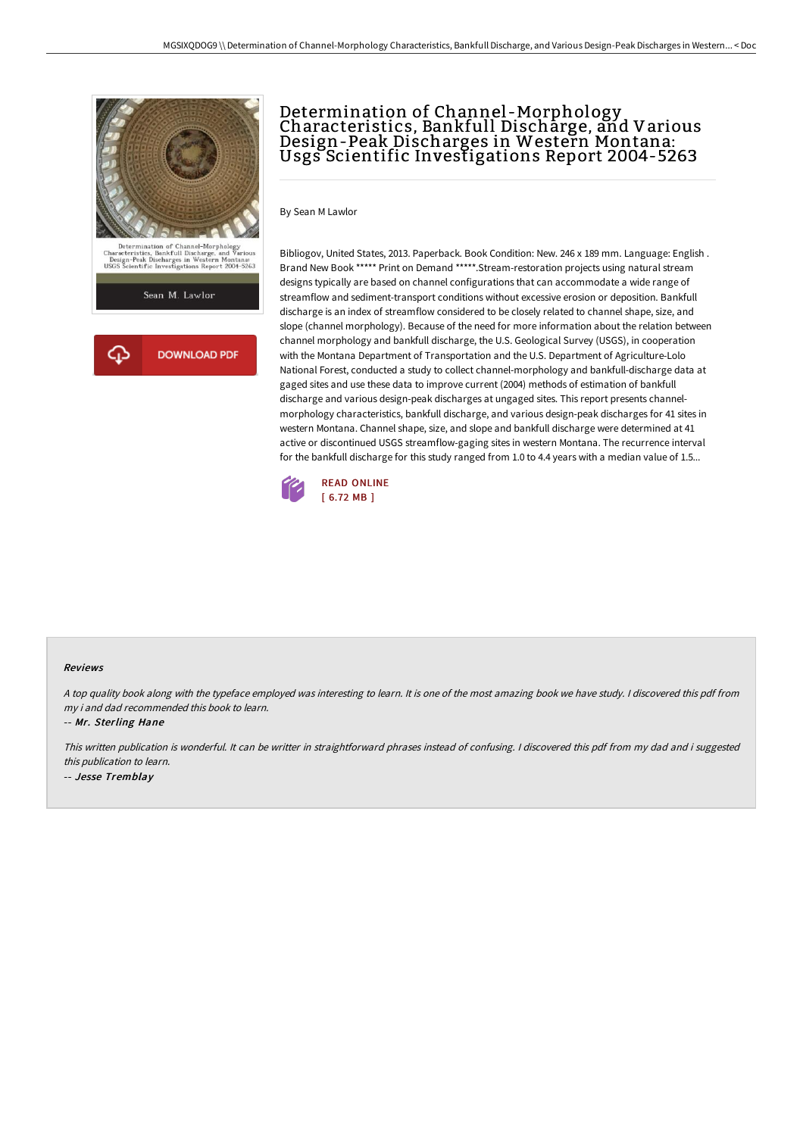

# Determination of Channel -Morphology Characteristics, Bankfull Discharge, and Various Design-Peak Discharges in Western Montana: Usgs Scientific Investigations Report 2004-5263

By Sean M Lawlor

Bibliogov, United States, 2013. Paperback. Book Condition: New. 246 x 189 mm. Language: English . Brand New Book \*\*\*\*\* Print on Demand \*\*\*\*\*.Stream-restoration projects using natural stream designs typically are based on channel configurations that can accommodate a wide range of streamflow and sediment-transport conditions without excessive erosion or deposition. Bankfull discharge is an index of streamflow considered to be closely related to channel shape, size, and slope (channel morphology). Because of the need for more information about the relation between channel morphology and bankfull discharge, the U.S. Geological Survey (USGS), in cooperation with the Montana Department of Transportation and the U.S. Department of Agriculture-Lolo National Forest, conducted a study to collect channel-morphology and bankfull-discharge data at gaged sites and use these data to improve current (2004) methods of estimation of bankfull discharge and various design-peak discharges at ungaged sites. This report presents channelmorphology characteristics, bankfull discharge, and various design-peak discharges for 41 sites in western Montana. Channel shape, size, and slope and bankfull discharge were determined at 41 active or discontinued USGS streamflow-gaging sites in western Montana. The recurrence interval for the bankfull discharge for this study ranged from 1.0 to 4.4 years with a median value of 1.5...



#### Reviews

<sup>A</sup> top quality book along with the typeface employed was interesting to learn. It is one of the most amazing book we have study. <sup>I</sup> discovered this pdf from my i and dad recommended this book to learn.

-- Mr. Sterling Hane

This written publication is wonderful. It can be writter in straightforward phrases instead of confusing. <sup>I</sup> discovered this pdf from my dad and i suggested this publication to learn. -- Jesse Tremblay